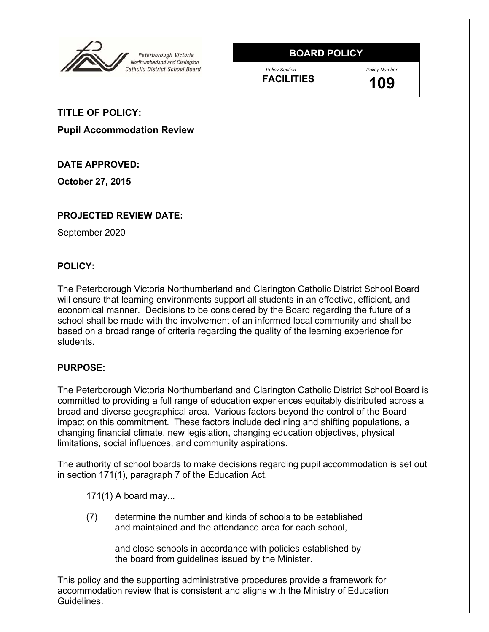

# **BOARD POLICY**

*Policy Section* **FACILITIES** *Policy Number* **109** 

**TITLE OF POLICY:**

**Pupil Accommodation Review** 

# **DATE APPROVED:**

**October 27, 2015** 

# **PROJECTED REVIEW DATE:**

September 2020

### **POLICY:**

The Peterborough Victoria Northumberland and Clarington Catholic District School Board will ensure that learning environments support all students in an effective, efficient, and economical manner. Decisions to be considered by the Board regarding the future of a school shall be made with the involvement of an informed local community and shall be based on a broad range of criteria regarding the quality of the learning experience for students.

### **PURPOSE:**

The Peterborough Victoria Northumberland and Clarington Catholic District School Board is committed to providing a full range of education experiences equitably distributed across a broad and diverse geographical area. Various factors beyond the control of the Board impact on this commitment. These factors include declining and shifting populations, a changing financial climate, new legislation, changing education objectives, physical limitations, social influences, and community aspirations.

The authority of school boards to make decisions regarding pupil accommodation is set out in section 171(1), paragraph 7 of the Education Act.

171(1) A board may...

 (7) determine the number and kinds of schools to be established and maintained and the attendance area for each school,

> and close schools in accordance with policies established by the board from guidelines issued by the Minister.

This policy and the supporting administrative procedures provide a framework for accommodation review that is consistent and aligns with the Ministry of Education Guidelines.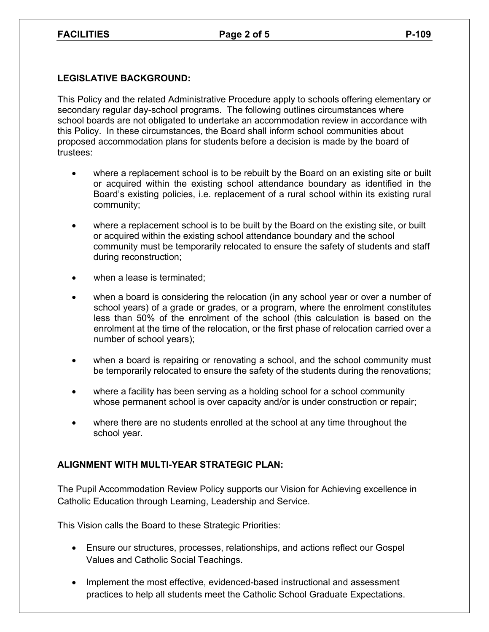#### **LEGISLATIVE BACKGROUND:**

This Policy and the related Administrative Procedure apply to schools offering elementary or secondary regular day-school programs. The following outlines circumstances where school boards are not obligated to undertake an accommodation review in accordance with this Policy. In these circumstances, the Board shall inform school communities about proposed accommodation plans for students before a decision is made by the board of trustees:

- where a replacement school is to be rebuilt by the Board on an existing site or built or acquired within the existing school attendance boundary as identified in the Board's existing policies, i.e. replacement of a rural school within its existing rural community;
- where a replacement school is to be built by the Board on the existing site, or built or acquired within the existing school attendance boundary and the school community must be temporarily relocated to ensure the safety of students and staff during reconstruction;
- when a lease is terminated;
- when a board is considering the relocation (in any school year or over a number of school years) of a grade or grades, or a program, where the enrolment constitutes less than 50% of the enrolment of the school (this calculation is based on the enrolment at the time of the relocation, or the first phase of relocation carried over a number of school years);
- when a board is repairing or renovating a school, and the school community must be temporarily relocated to ensure the safety of the students during the renovations;
- where a facility has been serving as a holding school for a school community whose permanent school is over capacity and/or is under construction or repair;
- where there are no students enrolled at the school at any time throughout the school year.

### **ALIGNMENT WITH MULTI-YEAR STRATEGIC PLAN:**

The Pupil Accommodation Review Policy supports our Vision for Achieving excellence in Catholic Education through Learning, Leadership and Service.

This Vision calls the Board to these Strategic Priorities:

- Ensure our structures, processes, relationships, and actions reflect our Gospel Values and Catholic Social Teachings.
- Implement the most effective, evidenced-based instructional and assessment practices to help all students meet the Catholic School Graduate Expectations.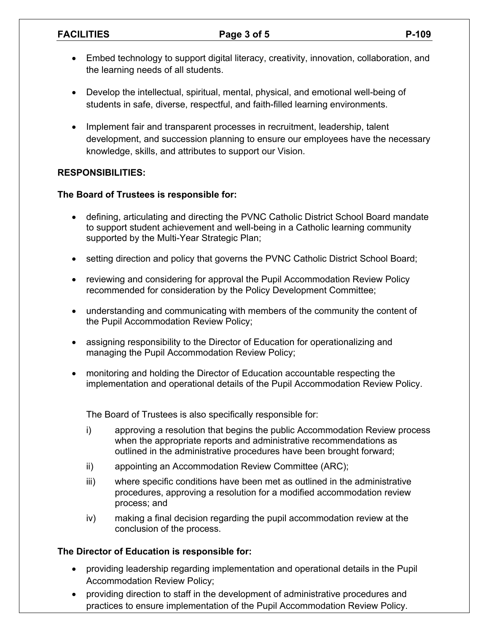## FACILITIES Page 3 of 5 P-109

- Embed technology to support digital literacy, creativity, innovation, collaboration, and the learning needs of all students.
- Develop the intellectual, spiritual, mental, physical, and emotional well-being of students in safe, diverse, respectful, and faith-filled learning environments.
- Implement fair and transparent processes in recruitment, leadership, talent development, and succession planning to ensure our employees have the necessary knowledge, skills, and attributes to support our Vision.

# **RESPONSIBILITIES:**

### **The Board of Trustees is responsible for:**

- defining, articulating and directing the PVNC Catholic District School Board mandate to support student achievement and well-being in a Catholic learning community supported by the Multi-Year Strategic Plan;
- setting direction and policy that governs the PVNC Catholic District School Board;
- reviewing and considering for approval the Pupil Accommodation Review Policy recommended for consideration by the Policy Development Committee;
- understanding and communicating with members of the community the content of the Pupil Accommodation Review Policy;
- assigning responsibility to the Director of Education for operationalizing and managing the Pupil Accommodation Review Policy;
- monitoring and holding the Director of Education accountable respecting the implementation and operational details of the Pupil Accommodation Review Policy.

The Board of Trustees is also specifically responsible for:

- i) approving a resolution that begins the public Accommodation Review process when the appropriate reports and administrative recommendations as outlined in the administrative procedures have been brought forward;
- ii) appointing an Accommodation Review Committee (ARC);
- iii) where specific conditions have been met as outlined in the administrative procedures, approving a resolution for a modified accommodation review process; and
- iv) making a final decision regarding the pupil accommodation review at the conclusion of the process.

### **The Director of Education is responsible for:**

- providing leadership regarding implementation and operational details in the Pupil Accommodation Review Policy;
- providing direction to staff in the development of administrative procedures and practices to ensure implementation of the Pupil Accommodation Review Policy.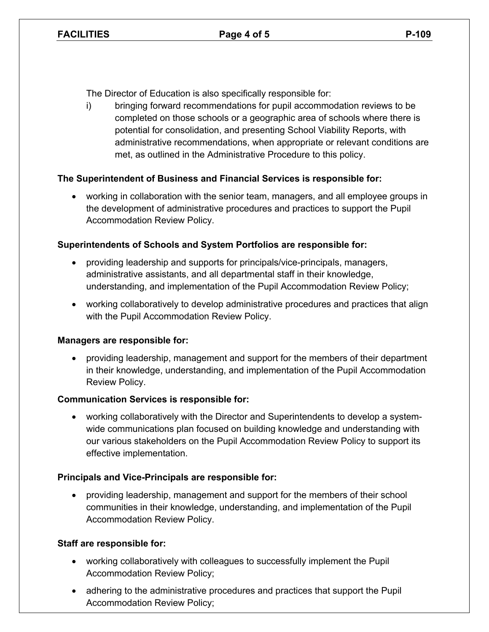The Director of Education is also specifically responsible for:

i) bringing forward recommendations for pupil accommodation reviews to be completed on those schools or a geographic area of schools where there is potential for consolidation, and presenting School Viability Reports, with administrative recommendations, when appropriate or relevant conditions are met, as outlined in the Administrative Procedure to this policy.

# **The Superintendent of Business and Financial Services is responsible for:**

 working in collaboration with the senior team, managers, and all employee groups in the development of administrative procedures and practices to support the Pupil Accommodation Review Policy.

# **Superintendents of Schools and System Portfolios are responsible for:**

- providing leadership and supports for principals/vice-principals, managers, administrative assistants, and all departmental staff in their knowledge, understanding, and implementation of the Pupil Accommodation Review Policy;
- working collaboratively to develop administrative procedures and practices that align with the Pupil Accommodation Review Policy.

### **Managers are responsible for:**

 providing leadership, management and support for the members of their department in their knowledge, understanding, and implementation of the Pupil Accommodation Review Policy.

### **Communication Services is responsible for:**

 working collaboratively with the Director and Superintendents to develop a systemwide communications plan focused on building knowledge and understanding with our various stakeholders on the Pupil Accommodation Review Policy to support its effective implementation.

### **Principals and Vice-Principals are responsible for:**

 providing leadership, management and support for the members of their school communities in their knowledge, understanding, and implementation of the Pupil Accommodation Review Policy.

### **Staff are responsible for:**

- working collaboratively with colleagues to successfully implement the Pupil Accommodation Review Policy;
- adhering to the administrative procedures and practices that support the Pupil Accommodation Review Policy;